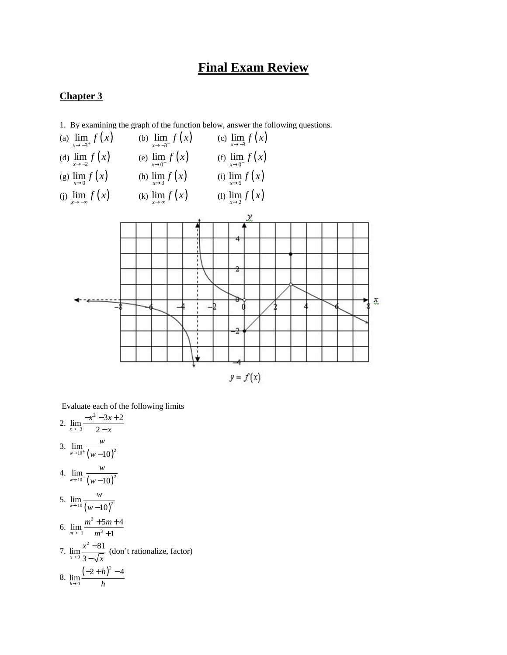# **Final Exam Review**

#### **Chapter 3**

1. By examining the graph of the function below, answer the following questions.



Evaluate each of the following limits

2.  $\lim \frac{-x^2}{x}$  $\lim_{x \to -3} \frac{-x^2 - 3x + 2}{2 - x}$ →<sup>-3</sup> 2 - x  $-x^2 - 3x +$ − 3.  $\lim_{w \to 10^+} \frac{w}{(w-10)^2}$  $^{w\rightarrow 10^{+}}$  (*w* – 10 *w*  $\rightarrow 10^+$  (*w* − 4.  $\lim_{w \to 10^{-}} \frac{w}{(w-10)^2}$  $\sqrt{w-10}$ <sup>-</sup>  $(w-10)$ *w* →10<sup>-</sup> (w – 5.  $\lim_{w \to 10} \frac{w}{(w-10)^2}$  $\sqrt{w-10}$   $(w-10)$ *w* →<sup>10</sup> (w – 6.  $\lim \frac{m^2}{m}$  $\lim_{m \to -1} \frac{m^2 + 5m + 4}{m^3 + 1}$ →− *m*  $+5m +$ + 7.  $\lim_{x \to 0} \frac{x^2}{x^2}$  $\lim_{x\to9}\frac{x^2-81}{3-x}$ 3 *x x*  $\rightarrow$ <sup>9</sup> 3 –  $\sqrt{x}$ − − (don't rationalize, factor) 8.  $\lim_{h \to 0} \frac{(-2+h)^2}{h}$  $\lim_{h\to 0} \frac{(-2+h)^2 - 4}{h}$  $\rightarrow$ <sup>0</sup> *h*  $(-2 + h)^2$  –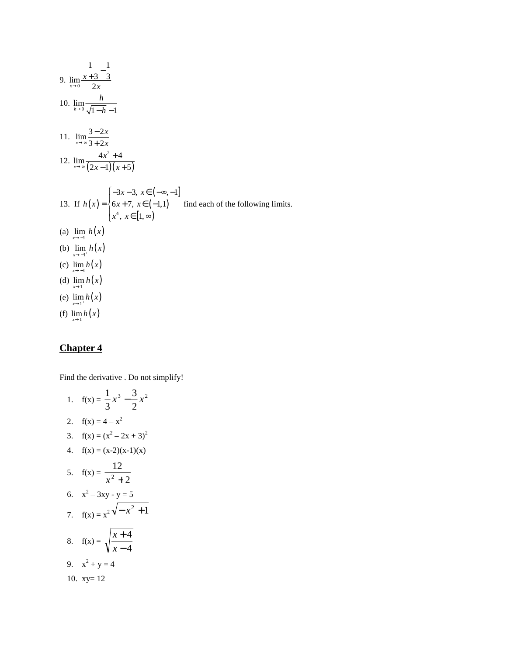9. 
$$
\lim_{x\to0} \frac{x+3}{2x} \frac{1}{3}
$$
  
\n10. 
$$
\lim_{h\to0} \frac{h}{\sqrt{1-h}-1}
$$
  
\n11. 
$$
\lim_{x\to\infty} \frac{3-2x}{3+2x}
$$
  
\n12. 
$$
\lim_{x\to\infty} \frac{4x^2+4}{(2x-1)(x+5)}
$$
  
\n13. If  $h(x) = \begin{cases} -3x-3, & x \in (-\infty, -1] \\ 6x+7, & x \in (-1,1) \\ x^4, & x \in [1, \infty) \end{cases}$  find each of the following limits.  
\n(a) 
$$
\lim_{x\to-1} h(x)
$$
  
\n(b) 
$$
\lim_{x\to1^{+}} h(x)
$$
  
\n(c) 
$$
\lim_{x\to1^{-}} h(x)
$$
  
\n(d) 
$$
\lim_{x\to1^{-}} h(x)
$$
  
\n(e) 
$$
\lim_{x\to1^{+}} h(x)
$$
  
\n(f) 
$$
\lim_{x\to1} h(x)
$$

Find the derivative . Do not simplify!

1. 
$$
f(x) = \frac{1}{3}x^3 - \frac{3}{2}x^2
$$
  
\n2.  $f(x) = 4 - x^2$   
\n3.  $f(x) = (x^2 - 2x + 3)^2$   
\n4.  $f(x) = (x-2)(x-1)(x)$   
\n5.  $f(x) = \frac{12}{x^2 + 2}$   
\n6.  $x^2 - 3xy - y = 5$   
\n7.  $f(x) = x^2\sqrt{-x^2 + 1}$   
\n8.  $f(x) = \sqrt{\frac{x+4}{x-4}}$   
\n9.  $x^2 + y = 4$   
\n10.  $xy = 12$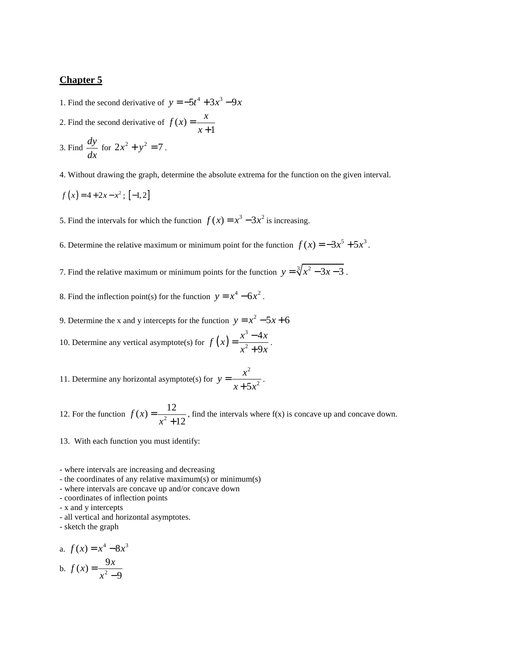1. Find the second derivative of  $y = -5t^4 + 3x^3 - 9x$ 

- 2. Find the second derivative of  $f(x)$ 1  $f(x) = \frac{x}{x}$ *x* = +
- 3. Find  $\frac{dy}{dx}$ *dx* for  $2x^2 + y^2 = 7$ .

4. Without drawing the graph, determine the absolute extrema for the function on the given interval.

$$
f(x) = 4 + 2x - x^2; [-1, 2]
$$

5. Find the intervals for which the function  $f(x) = x^3 - 3x^2$  is increasing.

6. Determine the relative maximum or minimum point for the function  $f(x) = -3x^5 + 5x^3$ .

7. Find the relative maximum or minimum points for the function  $y = \sqrt[3]{x^2 - 3x - 3}$ .

8. Find the inflection point(s) for the function  $y = x^4 - 6x^2$ .

9. Determine the x and y intercepts for the function  $y = x^2 - 5x + 6$ 10. Determine any vertical asymptote(s) for  $f(x) = \frac{x^3}{2}$ 2 4 9  $f(x) = \frac{x^3 - 4x}{x^2}$  $x^2 + 9x$  $=\frac{x^3-1}{2}$  $\frac{1}{+9x}$ .

11. Determine any horizontal asymptote(s) for 2  $5x^2$  $y = \frac{x}{x}$  $x + 5x$ =  $\frac{1}{1+5x^2}$ .

12. For the function  $f(x) = \frac{12}{x^2+1}$ 12 *f x x* =  $\frac{1}{x+12}$ , find the intervals where f(x) is concave up and concave down.

13. With each function you must identify:

- where intervals are increasing and decreasing

- the coordinates of any relative maximum(s) or minimum(s)
- where intervals are concave up and/or concave down
- coordinates of inflection points
- x and y intercepts

- all vertical and horizontal asymptotes.

- sketch the graph

a. 
$$
f(x) = x^4 - 8x^3
$$
  
b.  $f(x) = \frac{9x}{x^2 - 9}$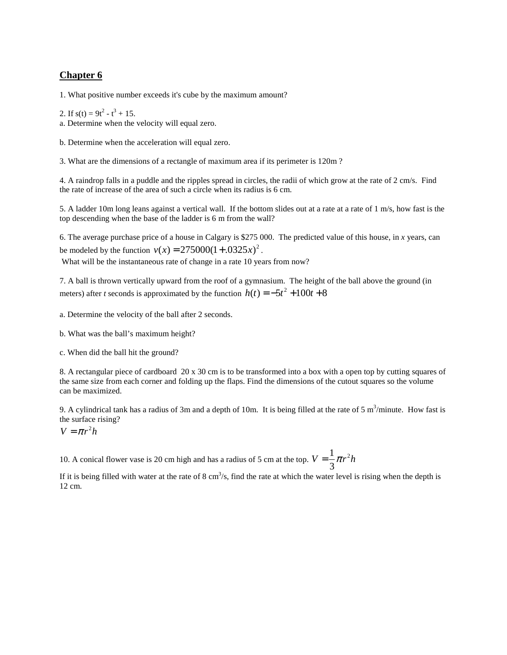1. What positive number exceeds it's cube by the maximum amount?

2. If  $s(t) = 9t^2 - t^3 + 15$ .

a. Determine when the velocity will equal zero.

b. Determine when the acceleration will equal zero.

3. What are the dimensions of a rectangle of maximum area if its perimeter is 120m ?

4. A raindrop falls in a puddle and the ripples spread in circles, the radii of which grow at the rate of 2 cm/s. Find the rate of increase of the area of such a circle when its radius is 6 cm.

5. A ladder 10m long leans against a vertical wall. If the bottom slides out at a rate at a rate of 1 m/s, how fast is the top descending when the base of the ladder is 6 m from the wall?

6. The average purchase price of a house in Calgary is \$275 000. The predicted value of this house, in *x* years, can be modeled by the function  $v(x) = 275000(1 + .0325x)^2$ .

What will be the instantaneous rate of change in a rate 10 years from now?

7. A ball is thrown vertically upward from the roof of a gymnasium. The height of the ball above the ground (in meters) after *t* seconds is approximated by the function  $h(t) = -5t^2 + 100t + 8$ 

a. Determine the velocity of the ball after 2 seconds.

- b. What was the ball's maximum height?
- c. When did the ball hit the ground?

8. A rectangular piece of cardboard 20 x 30 cm is to be transformed into a box with a open top by cutting squares of the same size from each corner and folding up the flaps. Find the dimensions of the cutout squares so the volume can be maximized.

9. A cylindrical tank has a radius of 3m and a depth of 10m. It is being filled at the rate of 5 m<sup>3</sup>/minute. How fast is the surface rising?

 $V = \pi r^2 h$ 

10. A conical flower vase is 20 cm high and has a radius of 5 cm at the top.  $V = \frac{1}{\tau} \pi r^2$ 3  $V = \frac{1}{2}\pi r^2 h$ 

If it is being filled with water at the rate of  $8 \text{ cm}^3/\text{s}$ , find the rate at which the water level is rising when the depth is 12 cm.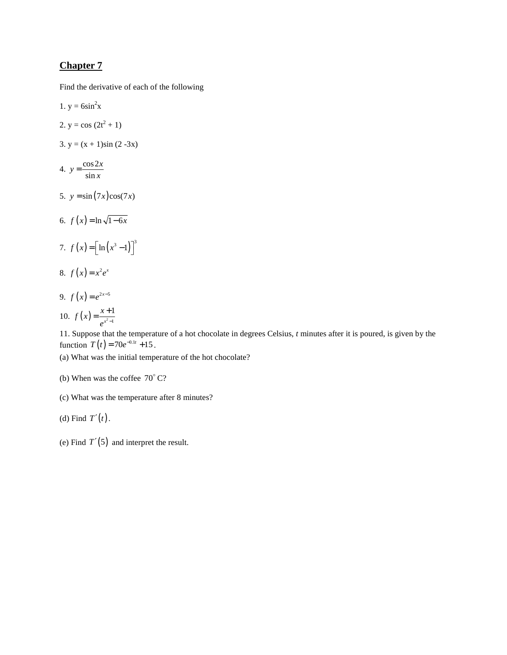Find the derivative of each of the following

1.  $y = 6\sin^2 x$ 2.  $y = cos(2t^2 + 1)$ 3.  $y = (x + 1)\sin(2-3x)$ 4.  $y = \frac{\cos 2}{\sin x}$  $y = \frac{\cos 2x}{\sin x}$ 5.  $y = \sin(7x)\cos(7x)$ 6.  $f(x) = \ln \sqrt{1 - 6x}$ 7.  $f(x) = \left[ \ln(x^3 - 1) \right]^3$ 8.  $f(x) = x^2 e^x$ 9.  $f(x) = e^{2x-5}$ 10.  $f(x) = \frac{x+1}{a^{x^2-1}}$ 1 *x*  $f(x) = \frac{x}{x}$  $e^{x^2-1}$  $=\frac{x+}{x}$ 

11. Suppose that the temperature of a hot chocolate in degrees Celsius, *t* minutes after it is poured, is given by the function  $T(t) = 70e^{-0.1t} + 15$ .

(a) What was the initial temperature of the hot chocolate?

- (b) When was the coffee  $70^{\circ}$  C?
- (c) What was the temperature after 8 minutes?
- (d) Find  $T'(t)$ .
- (e) Find  $T'(5)$  and interpret the result.